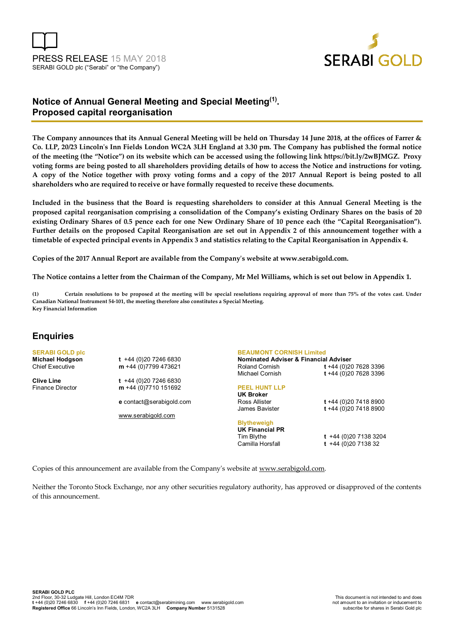



# **Notice of Annual General Meeting and Special Meeting (1) . Proposed capital reorganisation**

**The Company announces that its Annual General Meeting will be held on Thursday 14 June 2018, at the offices of Farrer & Co. LLP, 20/23 Lincoln's Inn Fields London WC2A 3LH England at 3.30 pm. The Company has published the formal notice of the meeting (the "Notice") on its website which can be accessed using the following link https://bit.ly/2wBJMGZ. Proxy voting forms are being posted to all shareholders providing details of how to access the Notice and instructions for voting. A copy of the Notice together with proxy voting forms and a copy of the 2017 Annual Report is being posted to all shareholders who are required to receive or have formally requested to receive these documents.** 

**Included in the business that the Board is requesting shareholders to consider at this Annual General Meeting is the proposed capital reorganisation comprising a consolidation of the Company's existing Ordinary Shares on the basis of 20 existing Ordinary Shares of 0.5 pence each for one New Ordinary Share of 10 pence each (the "Capital Reorganisation"). Further details on the proposed Capital Reorganisation are set out in Appendix 2 of this announcement together with a timetable of expected principal events in Appendix 3 and statistics relating to the Capital Reorganisation in Appendix 4.** 

**Copies of the 2017 Annual Report are available from the Company's website at www.serabigold.com.** 

**The Notice contains a letter from the Chairman of the Company, Mr Mel Williams, which is set out below in Appendix 1.** 

**(1) Certain resolutions to be proposed at the meeting will be special resolutions requiring approval of more than 75% of the votes cast. Under Canadian National Instrument 54-101, the meeting therefore also constitutes a Special Meeting. Key Financial Information** 

## **Enquiries**

**SERABI GOLD plc** 

**Michael Hodgson t** +44 (0)20 7246 6830<br>Chief Executive **m** +44 (0)7799 473621 m +44 (0)7799 473621

**Clive Line** t +44 (0)20 7246 6830<br>Finance Director **m** +44 (0)7710 151692 m +44 (0)7710 151692

**e** contact@serabigold.com

www.serabigold.com

## **BEAUMONT CORNISH Limited**

**Nominated Adviser & Financial Adviser**  Roland Cornish **t** +44 (0)20 7628 3396 Michael Cornish **t** +44 (0)20 7628 3396 **PEEL HUNT LLP UK Broker** Ross Allister **t** +44 (0)20 7418 8900 James Bavister **t** +44 (0)20 7418 8900 **Blytheweigh** 

**UK Financial PR** 

Tim Blythe **t** +44 (0)20 7138 3204 Camilla Horsfall **t** +44 (0)20 7138 32

Copies of this announcement are available from the Company's website at www.serabigold.com.

Neither the Toronto Stock Exchange, nor any other securities regulatory authority, has approved or disapproved of the contents of this announcement.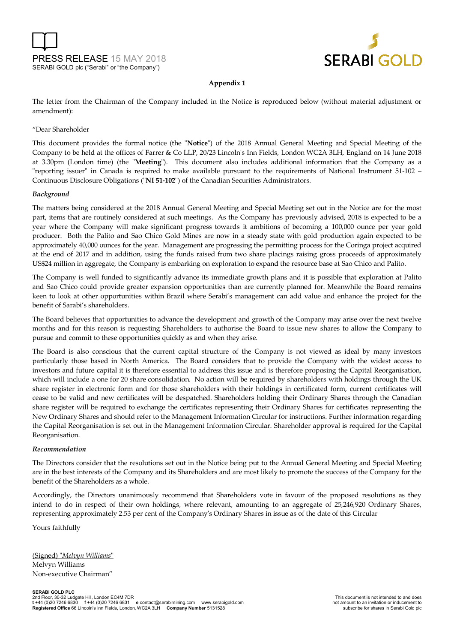



#### **Appendix 1**

The letter from the Chairman of the Company included in the Notice is reproduced below (without material adjustment or amendment):

#### "Dear Shareholder

This document provides the formal notice (the "**Notice**") of the 2018 Annual General Meeting and Special Meeting of the Company to be held at the offices of Farrer & Co LLP, 20/23 Lincoln's Inn Fields, London WC2A 3LH, England on 14 June 2018 at 3.30pm (London time) (the "**Meeting**"). This document also includes additional information that the Company as a "reporting issuer" in Canada is required to make available pursuant to the requirements of National Instrument 51-102 – Continuous Disclosure Obligations ("**NI 51-102**") of the Canadian Securities Administrators.

#### *Background*

The matters being considered at the 2018 Annual General Meeting and Special Meeting set out in the Notice are for the most part, items that are routinely considered at such meetings. As the Company has previously advised, 2018 is expected to be a year where the Company will make significant progress towards it ambitions of becoming a 100,000 ounce per year gold producer. Both the Palito and Sao Chico Gold Mines are now in a steady state with gold production again expected to be approximately 40,000 ounces for the year. Management are progressing the permitting process for the Coringa project acquired at the end of 2017 and in addition, using the funds raised from two share placings raising gross proceeds of approximately US\$24 million in aggregate, the Company is embarking on exploration to expand the resource base at Sao Chico and Palito.

The Company is well funded to significantly advance its immediate growth plans and it is possible that exploration at Palito and Sao Chico could provide greater expansion opportunities than are currently planned for. Meanwhile the Board remains keen to look at other opportunities within Brazil where Serabi's management can add value and enhance the project for the benefit of Sarabi's shareholders.

The Board believes that opportunities to advance the development and growth of the Company may arise over the next twelve months and for this reason is requesting Shareholders to authorise the Board to issue new shares to allow the Company to pursue and commit to these opportunities quickly as and when they arise.

The Board is also conscious that the current capital structure of the Company is not viewed as ideal by many investors particularly those based in North America. The Board considers that to provide the Company with the widest access to investors and future capital it is therefore essential to address this issue and is therefore proposing the Capital Reorganisation, which will include a one for 20 share consolidation. No action will be required by shareholders with holdings through the UK share register in electronic form and for those shareholders with their holdings in certificated form, current certificates will cease to be valid and new certificates will be despatched. Shareholders holding their Ordinary Shares through the Canadian share register will be required to exchange the certificates representing their Ordinary Shares for certificates representing the New Ordinary Shares and should refer to the Management Information Circular for instructions. Further information regarding the Capital Reorganisation is set out in the Management Information Circular. Shareholder approval is required for the Capital Reorganisation.

#### *Recommendation*

The Directors consider that the resolutions set out in the Notice being put to the Annual General Meeting and Special Meeting are in the best interests of the Company and its Shareholders and are most likely to promote the success of the Company for the benefit of the Shareholders as a whole.

Accordingly, the Directors unanimously recommend that Shareholders vote in favour of the proposed resolutions as they intend to do in respect of their own holdings, where relevant, amounting to an aggregate of 25,246,920 Ordinary Shares, representing approximately 2.53 per cent of the Company's Ordinary Shares in issue as of the date of this Circular

Yours faithfully

(Signed) "*Melvyn Williams*" Melvyn Williams Non-executive Chairman"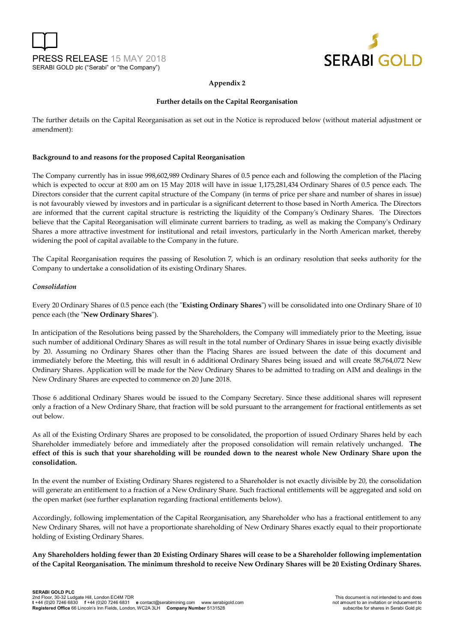



#### **Appendix 2**

#### **Further details on the Capital Reorganisation**

The further details on the Capital Reorganisation as set out in the Notice is reproduced below (without material adjustment or amendment):

#### **Background to and reasons for the proposed Capital Reorganisation**

The Company currently has in issue 998,602,989 Ordinary Shares of 0.5 pence each and following the completion of the Placing which is expected to occur at 8:00 am on 15 May 2018 will have in issue 1,175,281,434 Ordinary Shares of 0.5 pence each. The Directors consider that the current capital structure of the Company (in terms of price per share and number of shares in issue) is not favourably viewed by investors and in particular is a significant deterrent to those based in North America. The Directors are informed that the current capital structure is restricting the liquidity of the Company's Ordinary Shares. The Directors believe that the Capital Reorganisation will eliminate current barriers to trading, as well as making the Company's Ordinary Shares a more attractive investment for institutional and retail investors, particularly in the North American market, thereby widening the pool of capital available to the Company in the future.

The Capital Reorganisation requires the passing of Resolution 7, which is an ordinary resolution that seeks authority for the Company to undertake a consolidation of its existing Ordinary Shares.

#### *Consolidation*

Every 20 Ordinary Shares of 0.5 pence each (the "**Existing Ordinary Shares**") will be consolidated into one Ordinary Share of 10 pence each (the "**New Ordinary Shares**").

In anticipation of the Resolutions being passed by the Shareholders, the Company will immediately prior to the Meeting, issue such number of additional Ordinary Shares as will result in the total number of Ordinary Shares in issue being exactly divisible by 20. Assuming no Ordinary Shares other than the Placing Shares are issued between the date of this document and immediately before the Meeting, this will result in 6 additional Ordinary Shares being issued and will create 58,764,072 New Ordinary Shares. Application will be made for the New Ordinary Shares to be admitted to trading on AIM and dealings in the New Ordinary Shares are expected to commence on 20 June 2018.

Those 6 additional Ordinary Shares would be issued to the Company Secretary. Since these additional shares will represent only a fraction of a New Ordinary Share, that fraction will be sold pursuant to the arrangement for fractional entitlements as set out below.

As all of the Existing Ordinary Shares are proposed to be consolidated, the proportion of issued Ordinary Shares held by each Shareholder immediately before and immediately after the proposed consolidation will remain relatively unchanged. **The effect of this is such that your shareholding will be rounded down to the nearest whole New Ordinary Share upon the consolidation.**

In the event the number of Existing Ordinary Shares registered to a Shareholder is not exactly divisible by 20, the consolidation will generate an entitlement to a fraction of a New Ordinary Share. Such fractional entitlements will be aggregated and sold on the open market (see further explanation regarding fractional entitlements below).

Accordingly, following implementation of the Capital Reorganisation, any Shareholder who has a fractional entitlement to any New Ordinary Shares, will not have a proportionate shareholding of New Ordinary Shares exactly equal to their proportionate holding of Existing Ordinary Shares.

**Any Shareholders holding fewer than 20 Existing Ordinary Shares will cease to be a Shareholder following implementation of the Capital Reorganisation. The minimum threshold to receive New Ordinary Shares will be 20 Existing Ordinary Shares.**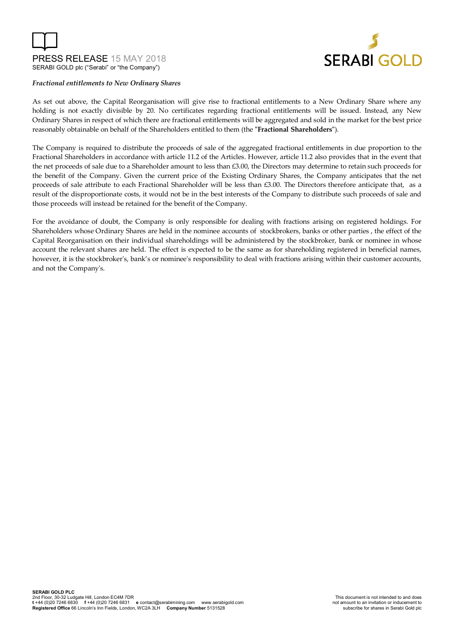



#### *Fractional entitlements to New Ordinary Shares*

As set out above, the Capital Reorganisation will give rise to fractional entitlements to a New Ordinary Share where any holding is not exactly divisible by 20. No certificates regarding fractional entitlements will be issued. Instead, any New Ordinary Shares in respect of which there are fractional entitlements will be aggregated and sold in the market for the best price reasonably obtainable on behalf of the Shareholders entitled to them (the **"Fractional Shareholders"**).

The Company is required to distribute the proceeds of sale of the aggregated fractional entitlements in due proportion to the Fractional Shareholders in accordance with article 11.2 of the Articles. However, article 11.2 also provides that in the event that the net proceeds of sale due to a Shareholder amount to less than £3.00, the Directors may determine to retain such proceeds for the benefit of the Company. Given the current price of the Existing Ordinary Shares, the Company anticipates that the net proceeds of sale attribute to each Fractional Shareholder will be less than £3.00. The Directors therefore anticipate that, as a result of the disproportionate costs, it would not be in the best interests of the Company to distribute such proceeds of sale and those proceeds will instead be retained for the benefit of the Company.

For the avoidance of doubt, the Company is only responsible for dealing with fractions arising on registered holdings. For Shareholders whose Ordinary Shares are held in the nominee accounts of stockbrokers, banks or other parties , the effect of the Capital Reorganisation on their individual shareholdings will be administered by the stockbroker, bank or nominee in whose account the relevant shares are held. The effect is expected to be the same as for shareholding registered in beneficial names, however, it is the stockbroker's, bank's or nominee's responsibility to deal with fractions arising within their customer accounts, and not the Company's.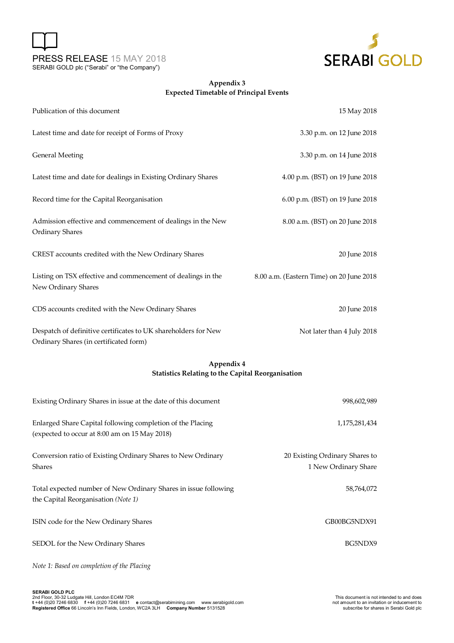



### **Appendix 3 Expected Timetable of Principal Events**

| Publication of this document                                                                             | 15 May 2018                              |
|----------------------------------------------------------------------------------------------------------|------------------------------------------|
| Latest time and date for receipt of Forms of Proxy                                                       | 3.30 p.m. on 12 June 2018                |
| <b>General Meeting</b>                                                                                   | 3.30 p.m. on 14 June 2018                |
| Latest time and date for dealings in Existing Ordinary Shares                                            | 4.00 p.m. (BST) on 19 June 2018          |
| Record time for the Capital Reorganisation                                                               | 6.00 p.m. (BST) on 19 June 2018          |
| Admission effective and commencement of dealings in the New<br><b>Ordinary Shares</b>                    | 8.00 a.m. (BST) on 20 June 2018          |
| CREST accounts credited with the New Ordinary Shares                                                     | 20 June 2018                             |
| Listing on TSX effective and commencement of dealings in the<br>New Ordinary Shares                      | 8.00 a.m. (Eastern Time) on 20 June 2018 |
| CDS accounts credited with the New Ordinary Shares                                                       | 20 June 2018                             |
| Despatch of definitive certificates to UK shareholders for New<br>Ordinary Shares (in certificated form) | Not later than 4 July 2018               |

### **Appendix 4 Statistics Relating to the Capital Reorganisation**

| Existing Ordinary Shares in issue at the date of this document                                              | 998,602,989                                            |
|-------------------------------------------------------------------------------------------------------------|--------------------------------------------------------|
| Enlarged Share Capital following completion of the Placing<br>(expected to occur at 8:00 am on 15 May 2018) | 1,175,281,434                                          |
| Conversion ratio of Existing Ordinary Shares to New Ordinary<br><b>Shares</b>                               | 20 Existing Ordinary Shares to<br>1 New Ordinary Share |
| Total expected number of New Ordinary Shares in issue following<br>the Capital Reorganisation (Note 1)      | 58,764,072                                             |
| ISIN code for the New Ordinary Shares                                                                       | GB00BG5NDX91                                           |
| SEDOL for the New Ordinary Shares                                                                           | BG5NDX9                                                |
| Note 1: Based on completion of the Placing                                                                  |                                                        |